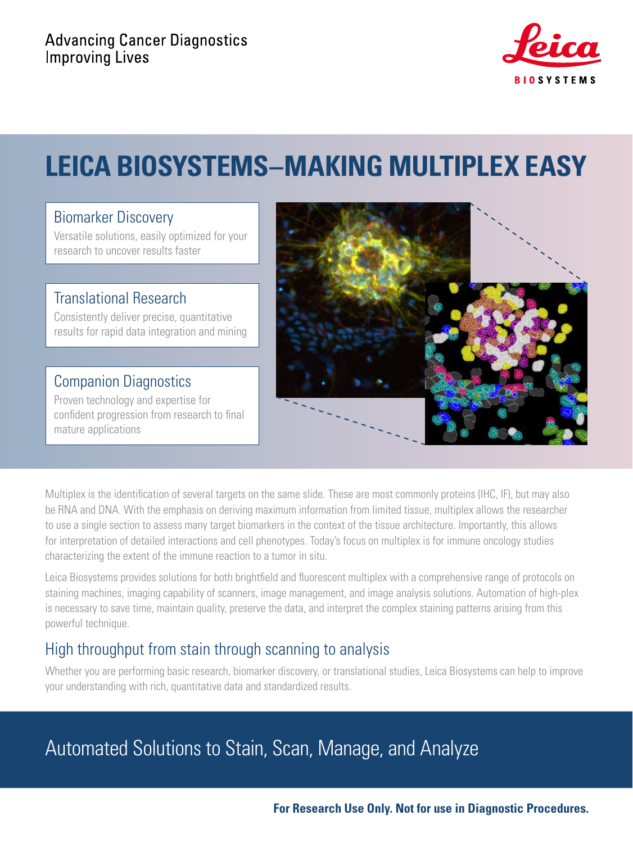

# **LEICA BIOSYSTEMS–MAKING MULTIPLEX EASY**

#### Biomarker Discovery

Versatile solutions, easily optimized for your research to uncover results faster

### Translational Research

Consistently deliver precise, quantitative results for rapid data integration and mining

### Companion Diagnostics

Proven technology and expertise for confident progression from research to final mature applications



Multiplex is the identification of several targets on the same slide. These are most commonly proteins (IHC, IF), but may also be RNA and DNA. With the emphasis on deriving maximum information from limited tissue, multiplex allows the researcher to use a single section to assess many target biomarkers in the context of the tissue architecture. Importantly, this allows for interpretation of detailed interactions and cell phenotypes. Today's focus on multiplex is for immune oncology studies characterizing the extent of the immune reaction to a tumor in situ.

Leica Biosystems provides solutions for both brightfield and fluorescent multiplex with a comprehensive range of protocols on staining machines, imaging capability of scanners, image management, and image analysis solutions. Automation of high-plex is necessary to save time, maintain quality, preserve the data, and interpret the complex staining patterns arising from this powerful technique.

### High throughput from stain through scanning to analysis

Whether you are performing basic research, biomarker discovery, or translational studies, Leica Biosystems can help to improve your understanding with rich, quantitative data and standardized results.

## Automated Solutions to Stain, Scan, Manage, and Analyze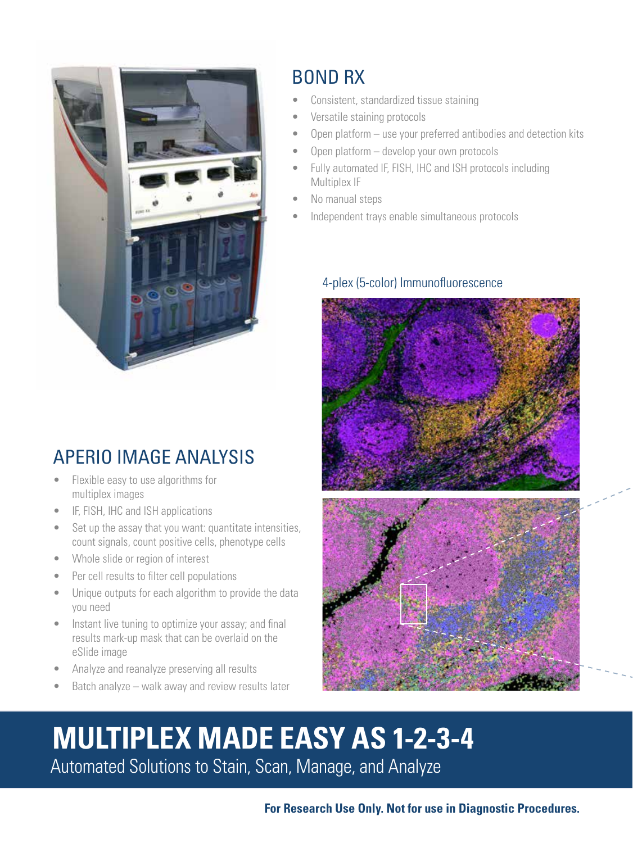

## APERIO IMAGE ANALYSIS

- Flexible easy to use algorithms for multiplex images
- IF, FISH, IHC and ISH applications
- Set up the assay that you want: quantitate intensities, count signals, count positive cells, phenotype cells
- Whole slide or region of interest
- Per cell results to filter cell populations
- Unique outputs for each algorithm to provide the data you need
- Instant live tuning to optimize your assay; and final results mark-up mask that can be overlaid on the eSlide image
- Analyze and reanalyze preserving all results
- Batch analyze walk away and review results later

## BOND RX

- Consistent, standardized tissue staining
- Versatile staining protocols
- Open platform use your preferred antibodies and detection kits
- Open platform develop your own protocols
- Fully automated IF, FISH, IHC and ISH protocols including Multiplex IF
- No manual steps
- Independent trays enable simultaneous protocols

#### 4-plex (5-color) Immunofluorescence



# **MULTIPLEX MADE EASY AS 1-2-3-4** Automated Solutions to Stain, Scan, Manage, and Analyze

**For Research Use Only. Not for use in Diagnostic Procedures.**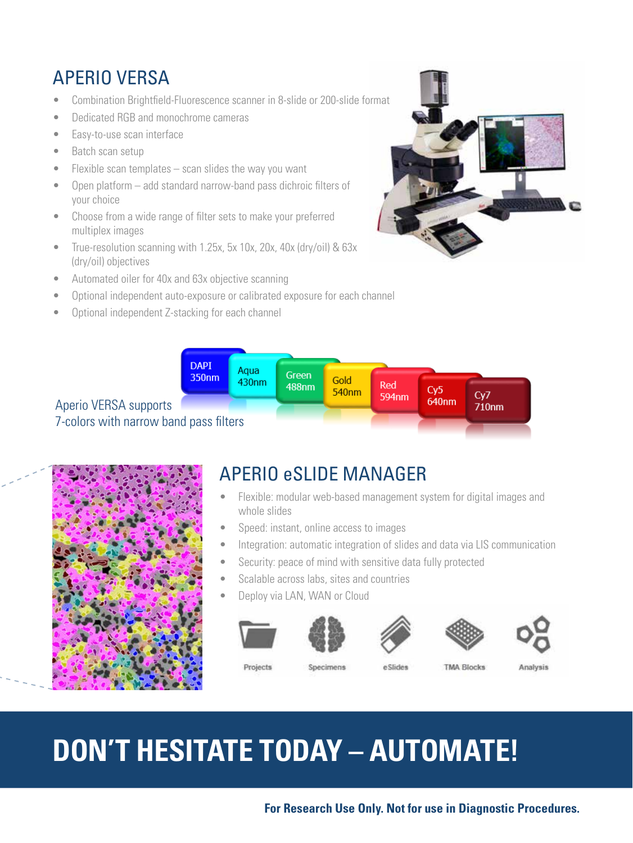## APERIO VERSA

- Combination Brightfield-Fluorescence scanner in 8-slide or 200-slide format
- Dedicated RGB and monochrome cameras
- Easy-to-use scan interface
- Batch scan setup
- $\bullet$  Flexible scan templates scan slides the way you want
- Open platform add standard narrow-band pass dichroic filters of your choice
- Choose from a wide range of filter sets to make your preferred multiplex images
- True-resolution scanning with 1.25x, 5x 10x, 20x, 40x (dry/oil) & 63x (dry/oil) objectives
- Automated oiler for 40x and 63x objective scanning
- Optional independent auto-exposure or calibrated exposure for each channel
- Optional independent Z-stacking for each channel







## APERIO eSLIDE MANAGER

- Flexible: modular web-based management system for digital images and whole slides
- Speed: instant, online access to images
- Integration: automatic integration of slides and data via LIS communication
- Security: peace of mind with sensitive data fully protected
- Scalable across labs, sites and countries
- Deploy via LAN, WAN or Cloud





Specimens







Projects

e Slides

**TMA Blocks** 

Analysis

# **DON'T HESITATE TODAY – AUTOMATE!**

#### **For Research Use Only. Not for use in Diagnostic Procedures.**